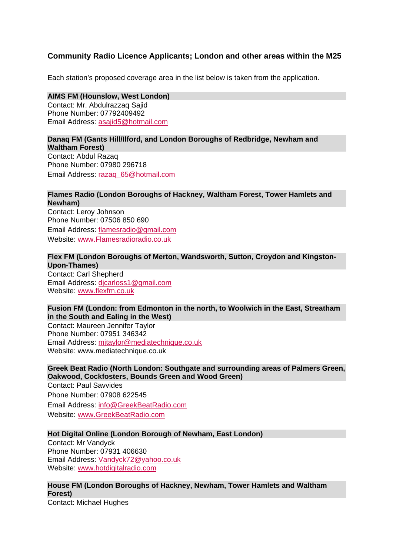# **Community Radio Licence Applicants; London and other areas within the M25**

Each station's proposed coverage area in the list below is taken from the application.

# **AIMS FM (Hounslow, West London)**

Contact: Mr. Abdulrazzaq Sajid Phone Number: 07792409492 Email Address: asajid5@hotmail.com

#### **Danaq FM (Gants Hill/Ilford, and London Boroughs of Redbridge, Newham and Waltham Forest)**

Contact: Abdul Razaq Phone Number: 07980 296718 Email Address: razaq\_65@hotmail.com

## **Flames Radio (London Boroughs of Hackney, Waltham Forest, Tower Hamlets and Newham)**

Contact: Leroy Johnson Phone Number: 07506 850 690 Email Address: flamesradio@gmail.com Website: www.Flamesradioradio.co.uk

# **Flex FM (London Boroughs of Merton, Wandsworth, Sutton, Croydon and Kingston-Upon-Thames)**

Contact: Carl Shepherd Email Address: djcarloss1@gmail.com Website: www.flexfm.co.uk

# **Fusion FM (London: from Edmonton in the north, to Woolwich in the East, Streatham in the South and Ealing in the West)**

Contact: Maureen Jennifer Taylor Phone Number: 07951 346342 Email Address: mjtaylor@mediatechnique.co.uk Website: www.mediatechnique.co.uk

# **Greek Beat Radio (North London: Southgate and surrounding areas of Palmers Green, Oakwood, Cockfosters, Bounds Green and Wood Green)**

Contact: Paul Savvides Phone Number: 07908 622545 Email Address: info@GreekBeatRadio.com Website: www.GreekBeatRadio.com

## **Hot Digital Online (London Borough of Newham, East London)**

Contact: Mr Vandyck Phone Number: 07931 406630 Email Address: Vandyck72@yahoo.co.uk Website: www.hotdigitalradio.com

# **House FM (London Boroughs of Hackney, Newham, Tower Hamlets and Waltham Forest)**

Contact: Michael Hughes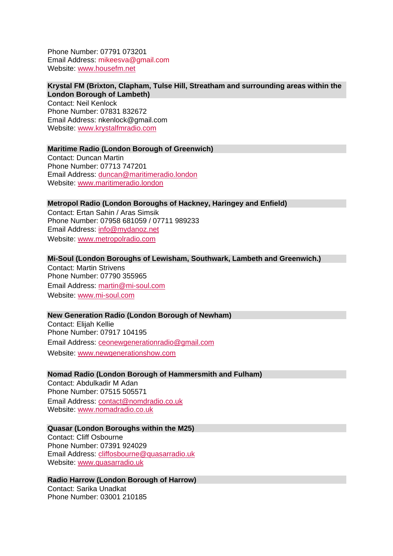Phone Number: 07791 073201 Email Address: mikeesva@gmail.com Website: www.housefm.net

## **Krystal FM (Brixton, Clapham, Tulse Hill, Streatham and surrounding areas within the London Borough of Lambeth)**

Contact: Neil Kenlock Phone Number: 07831 832672 Email Address: nkenlock@gmail.com Website: www.krystalfmradio.com

#### **Maritime Radio (London Borough of Greenwich)**

Contact: Duncan Martin Phone Number: 07713 747201 Email Address: duncan@maritimeradio.london Website: www.maritimeradio.london

#### **Metropol Radio (London Boroughs of Hackney, Haringey and Enfield)**

Contact: Ertan Sahin / Aras Simsik Phone Number: 07958 681059 / 07711 989233 Email Address: info@mydanoz.net Website: www.metropolradio.com

#### **Mi-Soul (London Boroughs of Lewisham, Southwark, Lambeth and Greenwich.)**

Contact: Martin Strivens Phone Number: 07790 355965 Email Address: martin@mi-soul.com Website: www.mi-soul.com

## **New Generation Radio (London Borough of Newham)**

Contact: Elijah Kellie Phone Number: 07917 104195 Email Address: ceonewgenerationradio@gmail.com Website: www.newgenerationshow.com

#### **Nomad Radio (London Borough of Hammersmith and Fulham)**

Contact: Abdulkadir M Adan Phone Number: 07515 505571 Email Address: contact@nomdradio.co.uk Website: www.nomadradio.co.uk

#### **Quasar (London Boroughs within the M25)**

Contact: Cliff Osbourne Phone Number: 07391 924029 Email Address: cliffosbourne@quasarradio.uk Website: www.quasarradio.uk

## **Radio Harrow (London Borough of Harrow)**

Contact: Sarika Unadkat Phone Number: 03001 210185